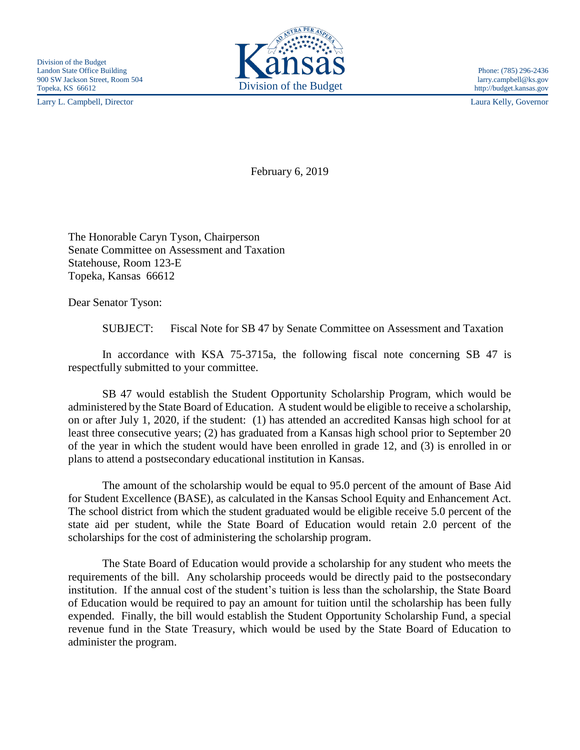Larry L. Campbell, Director Laura Kelly, Governor



February 6, 2019

The Honorable Caryn Tyson, Chairperson Senate Committee on Assessment and Taxation Statehouse, Room 123-E Topeka, Kansas 66612

Dear Senator Tyson:

SUBJECT: Fiscal Note for SB 47 by Senate Committee on Assessment and Taxation

In accordance with KSA 75-3715a, the following fiscal note concerning SB 47 is respectfully submitted to your committee.

SB 47 would establish the Student Opportunity Scholarship Program, which would be administered by the State Board of Education. A student would be eligible to receive a scholarship, on or after July 1, 2020, if the student: (1) has attended an accredited Kansas high school for at least three consecutive years; (2) has graduated from a Kansas high school prior to September 20 of the year in which the student would have been enrolled in grade 12, and (3) is enrolled in or plans to attend a postsecondary educational institution in Kansas.

The amount of the scholarship would be equal to 95.0 percent of the amount of Base Aid for Student Excellence (BASE), as calculated in the Kansas School Equity and Enhancement Act. The school district from which the student graduated would be eligible receive 5.0 percent of the state aid per student, while the State Board of Education would retain 2.0 percent of the scholarships for the cost of administering the scholarship program.

The State Board of Education would provide a scholarship for any student who meets the requirements of the bill. Any scholarship proceeds would be directly paid to the postsecondary institution. If the annual cost of the student's tuition is less than the scholarship, the State Board of Education would be required to pay an amount for tuition until the scholarship has been fully expended. Finally, the bill would establish the Student Opportunity Scholarship Fund, a special revenue fund in the State Treasury, which would be used by the State Board of Education to administer the program.